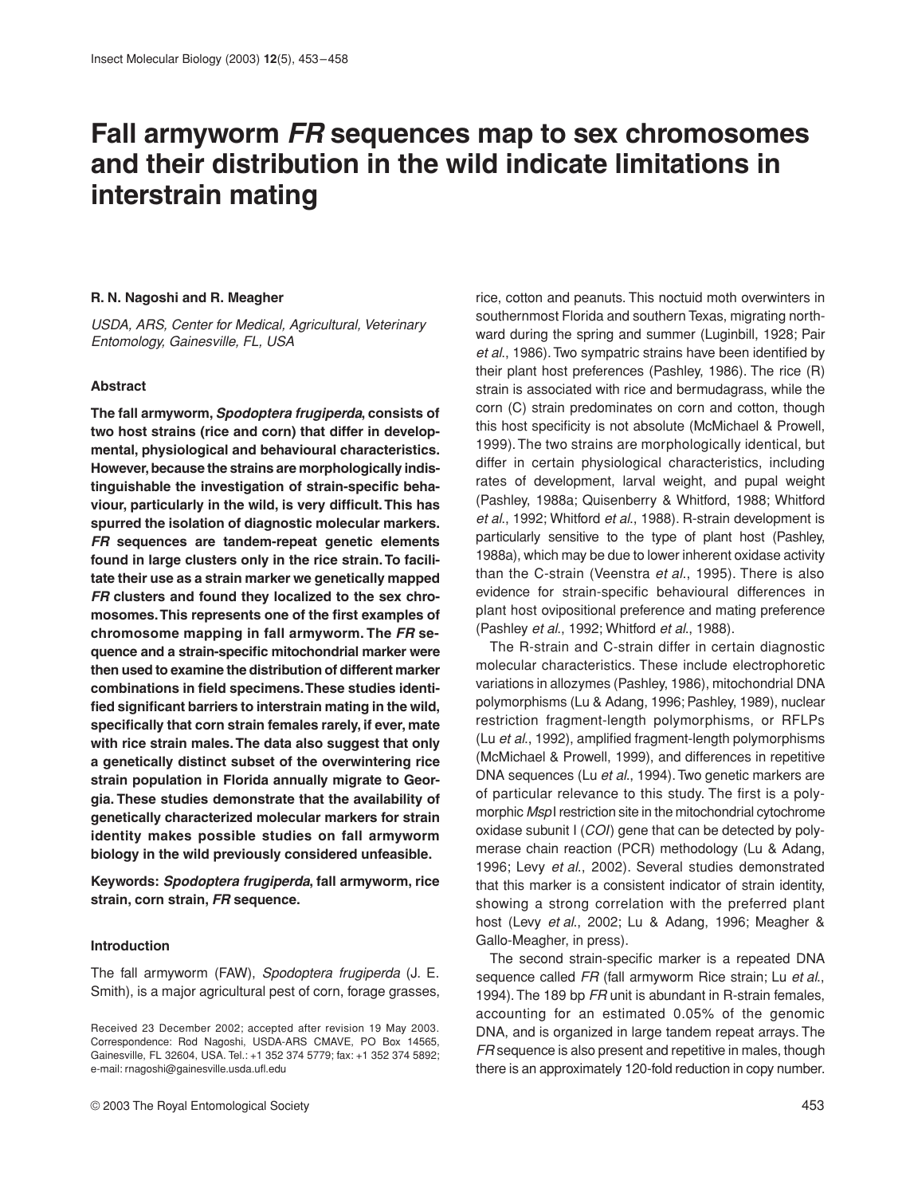# **Fall armyworm FR sequences map to sex chromosomes and their distribution in the wild indicate limitations in interstrain mating**

# **R. N. Nagoshi and R. Meagher**

*USDA, ARS, Center for Medical, Agricultural, Veterinary Entomology, Gainesville, FL, USA* 

#### **Abstract**

**The fall armyworm,** *Spodoptera frugiperda***, consists of two host strains (rice and corn) that differ in developmental, physiological and behavioural characteristics. However, because the strains are morphologically indistinguishable the investigation of strain-specific behaviour, particularly in the wild, is very difficult. This has spurred the isolation of diagnostic molecular markers.** *FR* **sequences are tandem-repeat genetic elements found in large clusters only in the rice strain. To facilitate their use as a strain marker we genetically mapped** *FR* **clusters and found they localized to the sex chromosomes. This represents one of the first examples of chromosome mapping in fall armyworm. The** *FR* **sequence and a strain-specific mitochondrial marker were then used to examine the distribution of different marker combinations in field specimens. These studies identified significant barriers to interstrain mating in the wild, specifically that corn strain females rarely, if ever, mate with rice strain males. The data also suggest that only a genetically distinct subset of the overwintering rice strain population in Florida annually migrate to Georgia. These studies demonstrate that the availability of genetically characterized molecular markers for strain identity makes possible studies on fall armyworm biology in the wild previously considered unfeasible.**

**Keywords:** *Spodoptera frugiperda***, fall armyworm, rice strain, corn strain,** *FR* **sequence.**

# **Introduction**

The fall armyworm (FAW), *Spodoptera frugiperda* (J. E. Smith), is a major agricultural pest of corn, forage grasses,

© 2003 The Royal Entomological Society 453

rice, cotton and peanuts. This noctuid moth overwinters in southernmost Florida and southern Texas, migrating northward during the spring and summer (Luginbill, 1928; Pair *et al*., 1986). Two sympatric strains have been identified by their plant host preferences (Pashley, 1986). The rice (R) strain is associated with rice and bermudagrass, while the corn (C) strain predominates on corn and cotton, though this host specificity is not absolute (McMichael & Prowell, 1999). The two strains are morphologically identical, but differ in certain physiological characteristics, including rates of development, larval weight, and pupal weight (Pashley, 1988a; Quisenberry & Whitford, 1988; Whitford *et al*., 1992; Whitford *et al*., 1988). R-strain development is particularly sensitive to the type of plant host (Pashley, 1988a), which may be due to lower inherent oxidase activity than the C-strain (Veenstra *et al*., 1995). There is also evidence for strain-specific behavioural differences in plant host ovipositional preference and mating preference (Pashley *et al*., 1992; Whitford *et al*., 1988).

The R-strain and C-strain differ in certain diagnostic molecular characteristics. These include electrophoretic variations in allozymes (Pashley, 1986), mitochondrial DNA polymorphisms (Lu & Adang, 1996; Pashley, 1989), nuclear restriction fragment-length polymorphisms, or RFLPs (Lu *et al*., 1992), amplified fragment-length polymorphisms (McMichael & Prowell, 1999), and differences in repetitive DNA sequences (Lu *et al*., 1994). Two genetic markers are of particular relevance to this study. The first is a polymorphic *Msp*I restriction site in the mitochondrial cytochrome oxidase subunit I (*COI*) gene that can be detected by polymerase chain reaction (PCR) methodology (Lu & Adang, 1996; Levy *et al*., 2002). Several studies demonstrated that this marker is a consistent indicator of strain identity, showing a strong correlation with the preferred plant host (Levy *et al*., 2002; Lu & Adang, 1996; Meagher & Gallo-Meagher, in press).

The second strain-specific marker is a repeated DNA sequence called *FR* (fall armyworm Rice strain; Lu *et al*., 1994). The 189 bp *FR* unit is abundant in R-strain females, accounting for an estimated 0.05% of the genomic DNA, and is organized in large tandem repeat arrays. The *FR* sequence is also present and repetitive in males, though there is an approximately 120-fold reduction in copy number.

Received 23 December 2002; accepted after revision 19 May 2003. Correspondence: Rod Nagoshi, USDA-ARS CMAVE, PO Box 14565, Gainesville, FL 32604, USA. Tel.: +1 352 374 5779; fax: +1 352 374 5892; e-mail: rnagoshi@gainesville.usda.ufl.edu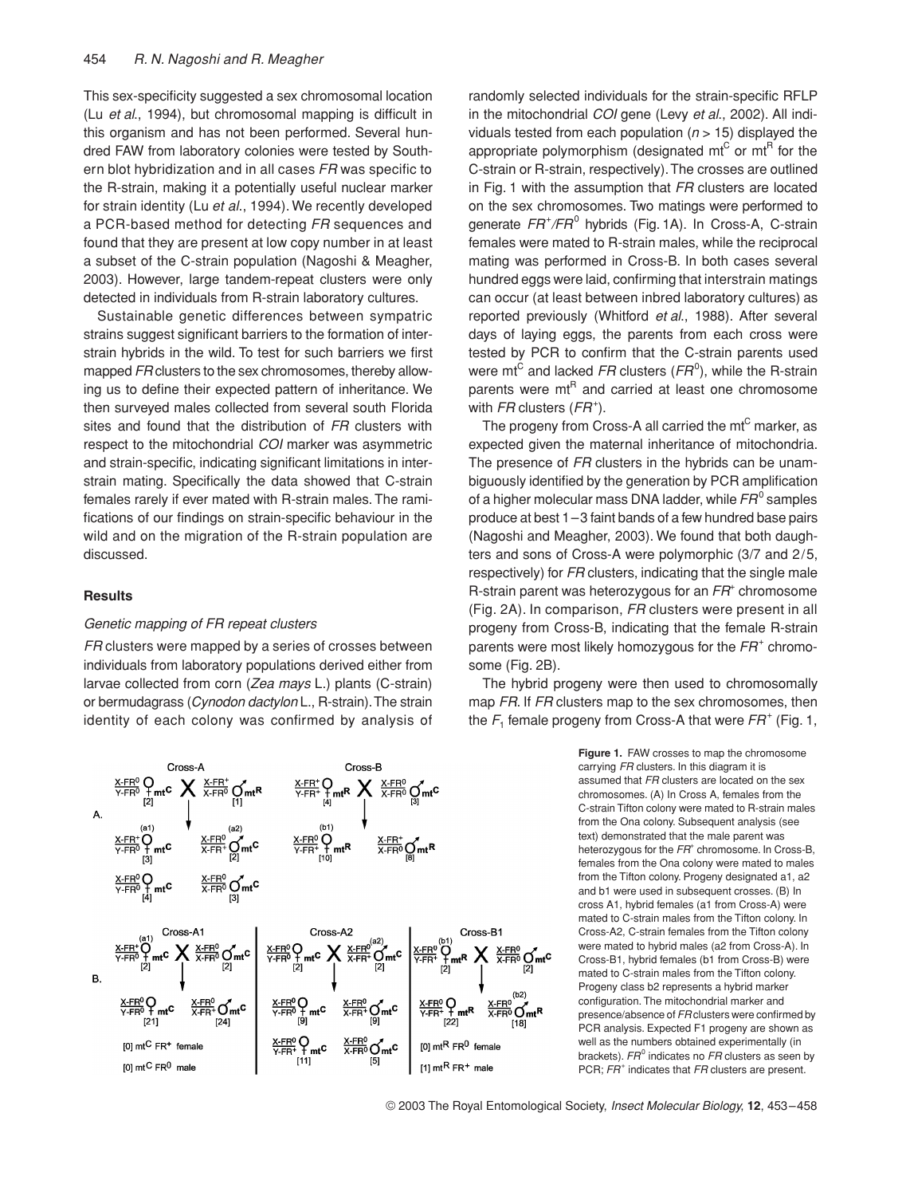This sex-specificity suggested a sex chromosomal location (Lu *et al*., 1994), but chromosomal mapping is difficult in this organism and has not been performed. Several hundred FAW from laboratory colonies were tested by Southern blot hybridization and in all cases *FR* was specific to the R-strain, making it a potentially useful nuclear marker for strain identity (Lu *et al*., 1994). We recently developed a PCR-based method for detecting *FR* sequences and found that they are present at low copy number in at least a subset of the C-strain population (Nagoshi & Meagher, 2003). However, large tandem-repeat clusters were only detected in individuals from R-strain laboratory cultures.

Sustainable genetic differences between sympatric strains suggest significant barriers to the formation of interstrain hybrids in the wild. To test for such barriers we first mapped *FR* clusters to the sex chromosomes, thereby allowing us to define their expected pattern of inheritance. We then surveyed males collected from several south Florida sites and found that the distribution of *FR* clusters with respect to the mitochondrial *COI* marker was asymmetric and strain-specific, indicating significant limitations in interstrain mating. Specifically the data showed that C-strain females rarely if ever mated with R-strain males. The ramifications of our findings on strain-specific behaviour in the wild and on the migration of the R-strain population are discussed.

#### **Results**

# *Genetic mapping of FR repeat clusters*

*FR* clusters were mapped by a series of crosses between individuals from laboratory populations derived either from larvae collected from corn (*Zea mays* L.) plants (C-strain) or bermudagrass (*Cynodon dactylon* L., R-strain). The strain identity of each colony was confirmed by analysis of

randomly selected individuals for the strain-specific RFLP in the mitochondrial *COI* gene (Levy *et al*., 2002). All individuals tested from each population (*n* > 15) displayed the appropriate polymorphism (designated mt $^{\text{C}}$  or mt $^{\text{R}}$  for the C-strain or R-strain, respectively). The crosses are outlined in Fig. 1 with the assumption that *FR* clusters are located on the sex chromosomes. Two matings were performed to generate  $FR^{+}/FR^{0}$  hybrids (Fig. 1A). In Cross-A, C-strain females were mated to R-strain males, while the reciprocal mating was performed in Cross-B. In both cases several hundred eggs were laid, confirming that interstrain matings can occur (at least between inbred laboratory cultures) as reported previously (Whitford *et al*., 1988). After several days of laying eggs, the parents from each cross were tested by PCR to confirm that the C-strain parents used were mt<sup>C</sup> and lacked FR clusters (FR<sup>0</sup>), while the R-strain parents were  $mt<sup>R</sup>$  and carried at least one chromosome with *FR* clusters (*FR*<sup>+</sup>).

The progeny from Cross-A all carried the  $mt<sup>C</sup>$  marker, as expected given the maternal inheritance of mitochondria. The presence of *FR* clusters in the hybrids can be unambiguously identified by the generation by PCR amplification of a higher molecular mass DNA ladder, while *FR*<sup>0</sup> samples produce at best 1–3 faint bands of a few hundred base pairs (Nagoshi and Meagher, 2003). We found that both daughters and sons of Cross-A were polymorphic (3/7 and 2/5, respectively) for *FR* clusters, indicating that the single male R-strain parent was heterozygous for an *FR*<sup>+</sup> chromosome (Fig. 2A). In comparison, *FR* clusters were present in all progeny from Cross-B, indicating that the female R-strain parents were most likely homozygous for the *FR*<sup>+</sup> chromosome (Fig. 2B).

The hybrid progeny were then used to chromosomally map *FR*. If *FR* clusters map to the sex chromosomes, then the  $F_1$  female progeny from Cross-A that were  $FR^+$  (Fig. 1,

> **Figure 1.** FAW crosses to map the chromosome carrying *FR* clusters. In this diagram it is assumed that *FR* clusters are located on the sex chromosomes. (A) In Cross A, females from the C-strain Tifton colony were mated to R-strain males from the Ona colony. Subsequent analysis (see text) demonstrated that the male parent was heterozygous for the FR<sup>+</sup> chromosome. In Cross-B, females from the Ona colony were mated to males from the Tifton colony. Progeny designated a1, a2 and b1 were used in subsequent crosses. (B) In cross A1, hybrid females (a1 from Cross-A) were mated to C-strain males from the Tifton colony. In Cross-A2, C-strain females from the Tifton colony were mated to hybrid males (a2 from Cross-A). In Cross-B1, hybrid females (b1 from Cross-B) were mated to C-strain males from the Tifton colony. Progeny class b2 represents a hybrid marker configuration. The mitochondrial marker and presence/absence of *FR* clusters were confirmed by PCR analysis. Expected F1 progeny are shown as well as the numbers obtained experimentally (in brackets).  $FR^0$  indicates no *FR* clusters as seen by PCR;  $FR<sup>+</sup>$  indicates that FR clusters are present.



© 2003 The Royal Entomological Society, *Insect Molecular Biology*, **12**, 453–458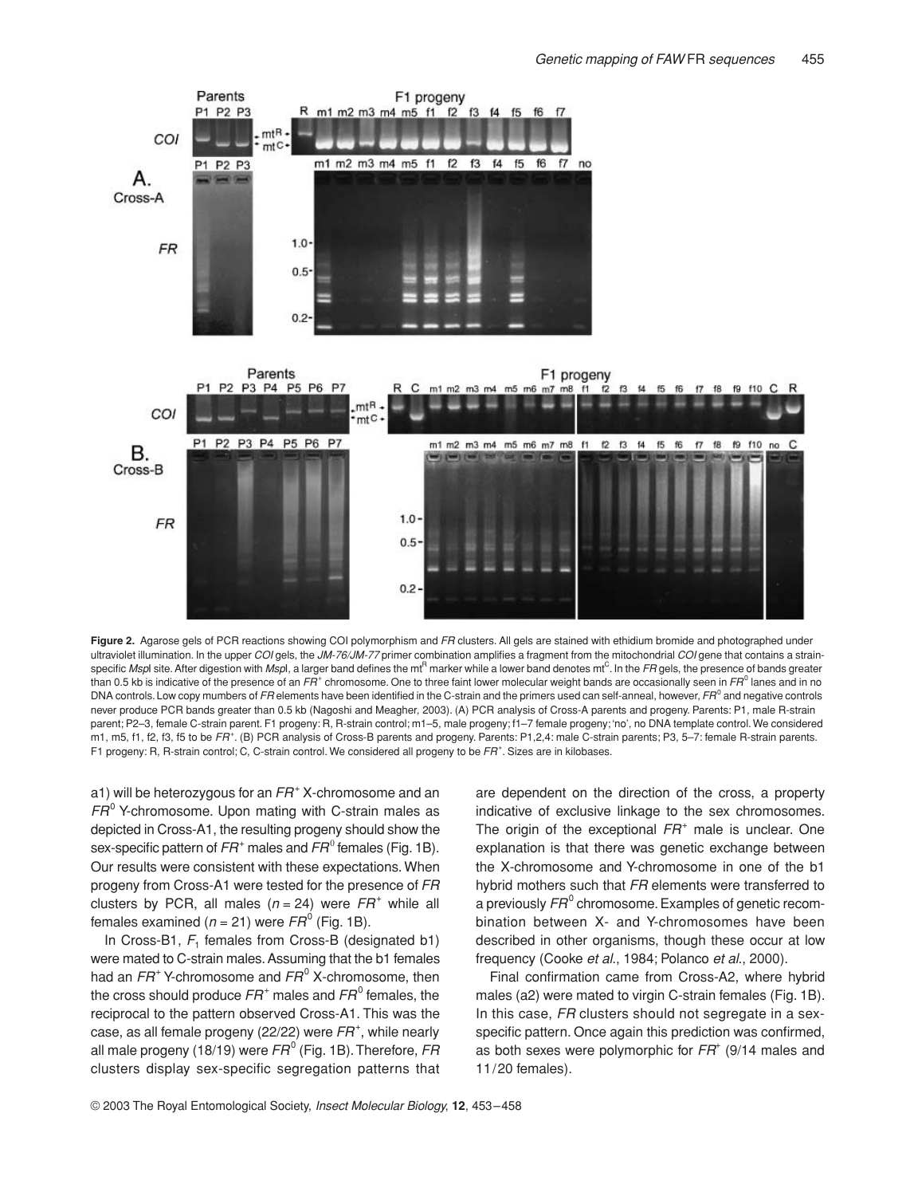

**Figure 2.** Agarose gels of PCR reactions showing COI polymorphism and *FR* clusters. All gels are stained with ethidium bromide and photographed under ultraviolet illumination. In the upper *COI* gels, the *JM-76/JM-77* primer combination amplifies a fragment from the mitochondrial *COI* gene that contains a strainspecific *Msp*I site. After digestion with *Msp*I, a larger band defines the mt<sup>R</sup> marker while a lower band denotes mt<sup>C</sup>. In the FR gels, the presence of bands greater than 0.5 kb is indicative of the presence of an *FR*<sup>+</sup> chromosome. One to three faint lower molecular weight bands are occasionally seen in *FR*<sup>0</sup> lanes and in no DNA controls. Low copy mumbers of *FR* elements have been identified in the C-strain and the primers used can self-anneal, however, *FR*<sup>0</sup> and negative controls never produce PCR bands greater than 0.5 kb (Nagoshi and Meagher, 2003). (A) PCR analysis of Cross-A parents and progeny. Parents: P1, male R-strain parent; P2–3, female C-strain parent. F1 progeny: R, R-strain control; m1–5, male progeny; f1–7 female progeny; 'no', no DNA template control. We considered m1, m5, f1, f2, f3, f5 to be FR<sup>+</sup>. (B) PCR analysis of Cross-B parents and progeny. Parents: P1,2,4: male C-strain parents; P3, 5-7: female R-strain parents. F1 progeny: R, R-strain control; C, C-strain control. We considered all progeny to be *FR*<sup>+</sup> . Sizes are in kilobases.

a1) will be heterozygous for an *FR*<sup>+</sup> X-chromosome and an *FR*<sup>0</sup> Y-chromosome. Upon mating with C-strain males as depicted in Cross-A1, the resulting progeny should show the sex-specific pattern of  $FR^+$  males and  $FR^0$  females (Fig. 1B). Our results were consistent with these expectations. When progeny from Cross-A1 were tested for the presence of *FR* clusters by PCR, all males  $(n = 24)$  were  $FR<sup>+</sup>$  while all females examined ( $n = 21$ ) were  $FR^0$  (Fig. 1B).

In Cross-B1, F<sub>1</sub> females from Cross-B (designated b1) were mated to C-strain males. Assuming that the b1 females had an *FR*<sup>+</sup> Y-chromosome and *FR*<sup>0</sup> X-chromosome, then the cross should produce *FR*<sup>+</sup> males and *FR*<sup>0</sup> females, the reciprocal to the pattern observed Cross-A1. This was the case, as all female progeny (22/22) were  $FR^+$ , while nearly all male progeny (18/19) were  $FR^0$  (Fig. 1B). Therefore, FR clusters display sex-specific segregation patterns that are dependent on the direction of the cross, a property indicative of exclusive linkage to the sex chromosomes. The origin of the exceptional *FR*<sup>+</sup> male is unclear. One explanation is that there was genetic exchange between the X-chromosome and Y-chromosome in one of the b1 hybrid mothers such that *FR* elements were transferred to a previously  $FR^0$  chromosome. Examples of genetic recombination between X- and Y-chromosomes have been described in other organisms, though these occur at low frequency (Cooke *et al*., 1984; Polanco *et al*., 2000).

Final confirmation came from Cross-A2, where hybrid males (a2) were mated to virgin C-strain females (Fig. 1B). In this case, *FR* clusters should not segregate in a sexspecific pattern. Once again this prediction was confirmed, as both sexes were polymorphic for *FR*<sup>+</sup> (9/14 males and 11/20 females).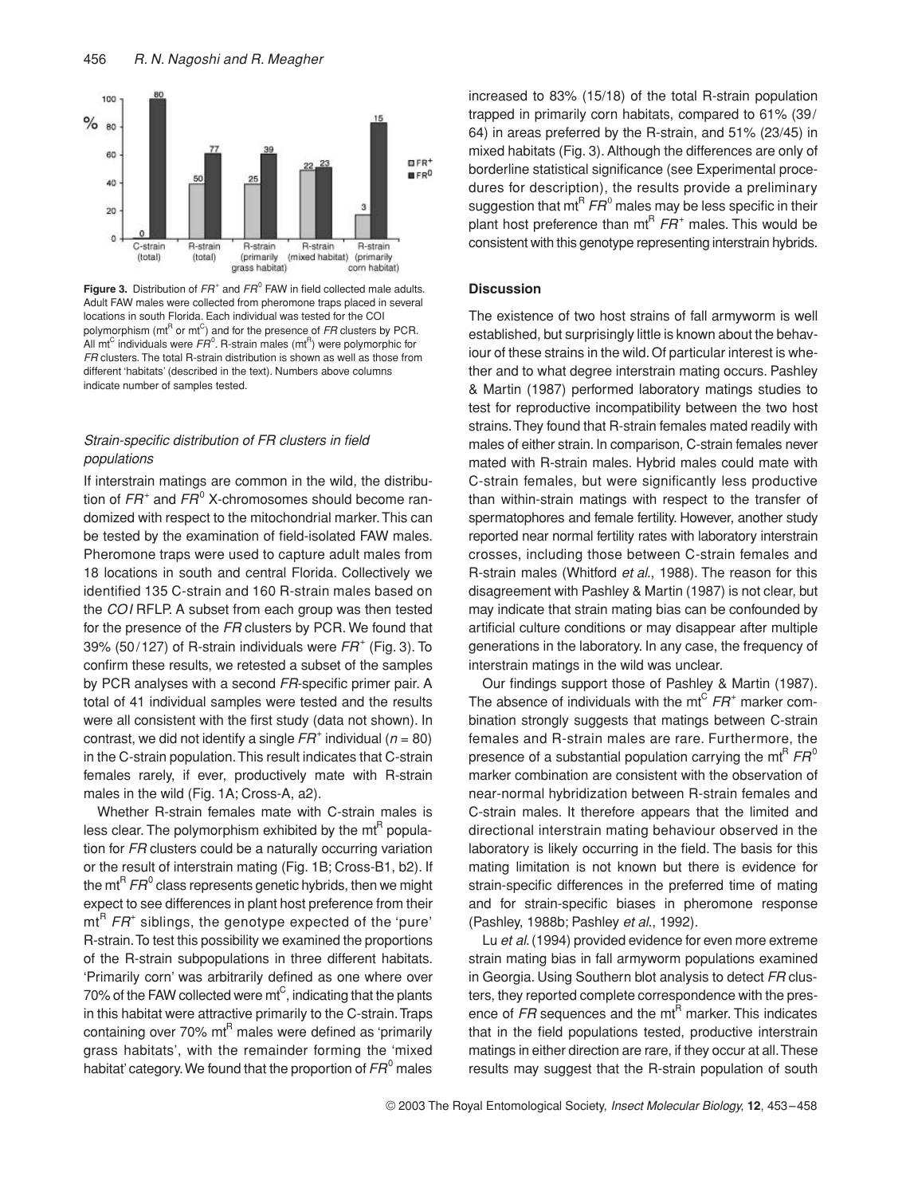

**Figure 3.** Distribution of  $FR^+$  and  $FR^0$  FAW in field collected male adults. Adult FAW males were collected from pheromone traps placed in several locations in south Florida. Each individual was tested for the COI polymorphism (mt<sup>R</sup> or mt<sup>C</sup>) and for the presence of *FR* clusters by PCR. All mt<sup>C</sup> individuals were  $FR^0$ . R-strain males (mt<sup>R</sup>) were polymorphic for *FR* clusters. The total R-strain distribution is shown as well as those from different 'habitats' (described in the text). Numbers above columns indicate number of samples tested.

# *Strain-specific distribution of FR clusters in field populations*

If interstrain matings are common in the wild, the distribution of *FR*<sup>+</sup> and *FR*<sup>0</sup> X-chromosomes should become randomized with respect to the mitochondrial marker. This can be tested by the examination of field-isolated FAW males. Pheromone traps were used to capture adult males from 18 locations in south and central Florida. Collectively we identified 135 C-strain and 160 R-strain males based on the *COI* RFLP. A subset from each group was then tested for the presence of the *FR* clusters by PCR. We found that 39% (50/127) of R-strain individuals were *FR*<sup>+</sup> (Fig. 3). To confirm these results, we retested a subset of the samples by PCR analyses with a second *FR*-specific primer pair. A total of 41 individual samples were tested and the results were all consistent with the first study (data not shown). In contrast, we did not identify a single  $FR^+$  individual ( $n = 80$ ) in the C-strain population. This result indicates that C-strain females rarely, if ever, productively mate with R-strain males in the wild (Fig. 1A; Cross-A, a2).

Whether R-strain females mate with C-strain males is less clear. The polymorphism exhibited by the  $\text{mt}^R$  population for *FR* clusters could be a naturally occurring variation or the result of interstrain mating (Fig. 1B; Cross-B1, b2). If the mt<sup>R</sup>  $FR<sup>0</sup>$  class represents genetic hybrids, then we might expect to see differences in plant host preference from their mt<sup>R</sup> FR<sup>+</sup> siblings, the genotype expected of the 'pure' R-strain. To test this possibility we examined the proportions of the R-strain subpopulations in three different habitats. 'Primarily corn' was arbitrarily defined as one where over 70% of the FAW collected were  $mt^C$ , indicating that the plants in this habitat were attractive primarily to the C-strain. Traps containing over  $70\%$  mt<sup>R</sup> males were defined as 'primarily grass habitats', with the remainder forming the 'mixed habitat' category. We found that the proportion of  $FR^0$  males increased to 83% (15/18) of the total R-strain population trapped in primarily corn habitats, compared to 61% (39/ 64) in areas preferred by the R-strain, and 51% (23/45) in mixed habitats (Fig. 3). Although the differences are only of borderline statistical significance (see Experimental procedures for description), the results provide a preliminary suggestion that mt<sup>R</sup>  $FR^0$  males may be less specific in their plant host preference than  $mt^R$   $FR^+$  males. This would be consistent with this genotype representing interstrain hybrids.

# **Discussion**

The existence of two host strains of fall armyworm is well established, but surprisingly little is known about the behaviour of these strains in the wild. Of particular interest is whether and to what degree interstrain mating occurs. Pashley & Martin (1987) performed laboratory matings studies to test for reproductive incompatibility between the two host strains. They found that R-strain females mated readily with males of either strain. In comparison, C-strain females never mated with R-strain males. Hybrid males could mate with C-strain females, but were significantly less productive than within-strain matings with respect to the transfer of spermatophores and female fertility. However, another study reported near normal fertility rates with laboratory interstrain crosses, including those between C-strain females and R-strain males (Whitford *et al*., 1988). The reason for this disagreement with Pashley & Martin (1987) is not clear, but may indicate that strain mating bias can be confounded by artificial culture conditions or may disappear after multiple generations in the laboratory. In any case, the frequency of interstrain matings in the wild was unclear.

Our findings support those of Pashley & Martin (1987). The absence of individuals with the  $mt^C$   $FR^+$  marker combination strongly suggests that matings between C-strain females and R-strain males are rare. Furthermore, the presence of a substantial population carrying the mt<sup>R</sup>  $FR^0$ marker combination are consistent with the observation of near-normal hybridization between R-strain females and C-strain males. It therefore appears that the limited and directional interstrain mating behaviour observed in the laboratory is likely occurring in the field. The basis for this mating limitation is not known but there is evidence for strain-specific differences in the preferred time of mating and for strain-specific biases in pheromone response (Pashley, 1988b; Pashley *et al*., 1992).

Lu *et al*. (1994) provided evidence for even more extreme strain mating bias in fall armyworm populations examined in Georgia. Using Southern blot analysis to detect *FR* clusters, they reported complete correspondence with the presence of *FR* sequences and the mt<sup>R</sup> marker. This indicates that in the field populations tested, productive interstrain matings in either direction are rare, if they occur at all. These results may suggest that the R-strain population of south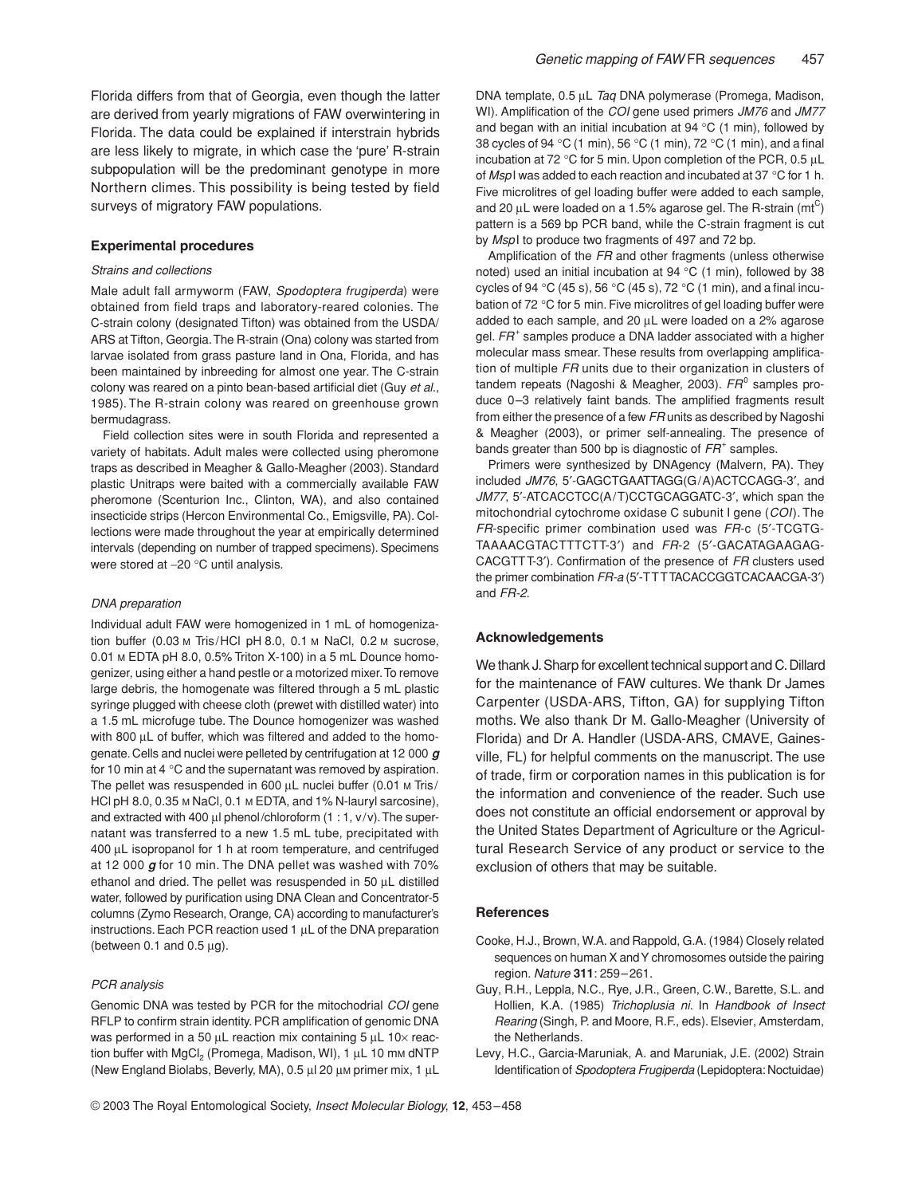Florida differs from that of Georgia, even though the latter are derived from yearly migrations of FAW overwintering in Florida. The data could be explained if interstrain hybrids are less likely to migrate, in which case the 'pure' R-strain subpopulation will be the predominant genotype in more Northern climes. This possibility is being tested by field surveys of migratory FAW populations.

#### **Experimental procedures**

## *Strains and collections*

Male adult fall armyworm (FAW, *Spodoptera frugiperda*) were obtained from field traps and laboratory-reared colonies. The C-strain colony (designated Tifton) was obtained from the USDA/ ARS at Tifton, Georgia. The R-strain (Ona) colony was started from larvae isolated from grass pasture land in Ona, Florida, and has been maintained by inbreeding for almost one year. The C-strain colony was reared on a pinto bean-based artificial diet (Guy *et al*., 1985). The R-strain colony was reared on greenhouse grown bermudagrass.

Field collection sites were in south Florida and represented a variety of habitats. Adult males were collected using pheromone traps as described in Meagher & Gallo-Meagher (2003). Standard plastic Unitraps were baited with a commercially available FAW pheromone (Scenturion Inc., Clinton, WA), and also contained insecticide strips (Hercon Environmental Co., Emigsville, PA). Collections were made throughout the year at empirically determined intervals (depending on number of trapped specimens). Specimens were stored at −20 °C until analysis.

#### *DNA preparation*

Individual adult FAW were homogenized in 1 mL of homogenization buffer (0.03 M Tris/HCl pH 8.0, 0.1 M NaCl, 0.2 M sucrose, 0.01 M EDTA pH 8.0, 0.5% Triton X-100) in a 5 mL Dounce homogenizer, using either a hand pestle or a motorized mixer. To remove large debris, the homogenate was filtered through a 5 mL plastic syringe plugged with cheese cloth (prewet with distilled water) into a 1.5 mL microfuge tube. The Dounce homogenizer was washed with 800 µL of buffer, which was filtered and added to the homogenate. Cells and nuclei were pelleted by centrifugation at 12 000 *g* for 10 min at 4 °C and the supernatant was removed by aspiration. The pellet was resuspended in 600 µL nuclei buffer (0.01 M Tris/ HCl pH 8.0, 0.35 M NaCl, 0.1 M EDTA, and 1% N-lauryl sarcosine), and extracted with 400  $\mu$ l phenol/chloroform (1 : 1, v/v). The supernatant was transferred to a new 1.5 mL tube, precipitated with 400 µL isopropanol for 1 h at room temperature, and centrifuged at 12 000 *g* for 10 min. The DNA pellet was washed with 70% ethanol and dried. The pellet was resuspended in 50 µL distilled water, followed by purification using DNA Clean and Concentrator-5 columns (Zymo Research, Orange, CA) according to manufacturer's instructions. Each PCR reaction used 1 µL of the DNA preparation (between 0.1 and 0.5  $\mu$ g).

#### *PCR analysis*

Genomic DNA was tested by PCR for the mitochodrial *COI* gene RFLP to confirm strain identity. PCR amplification of genomic DNA was performed in a 50 µL reaction mix containing 5 µL 10x reaction buffer with  $MgCl<sub>2</sub>$  (Promega, Madison, WI), 1  $\mu$ L 10 mm dNTP (New England Biolabs, Beverly, MA), 0.5 µl 20 µM primer mix, 1 µL DNA template, 0.5 µL *Taq* DNA polymerase (Promega, Madison, WI). Amplification of the *COI* gene used primers *JM76* and *JM77* and began with an initial incubation at 94  $\degree$ C (1 min), followed by 38 cycles of 94 °C (1 min), 56 °C (1 min), 72 °C (1 min), and a final incubation at 72 °C for 5 min. Upon completion of the PCR, 0.5 µL of *Msp*I was added to each reaction and incubated at 37 °C for 1 h. Five microlitres of gel loading buffer were added to each sample, and 20  $\mu$ L were loaded on a 1.5% agarose gel. The R-strain (mt $^{\rm C}$ ) pattern is a 569 bp PCR band, while the C-strain fragment is cut by *Msp*I to produce two fragments of 497 and 72 bp.

Amplification of the *FR* and other fragments (unless otherwise noted) used an initial incubation at 94 °C (1 min), followed by 38 cycles of 94 °C (45 s), 56 °C (45 s), 72 °C (1 min), and a final incubation of 72 °C for 5 min. Five microlitres of gel loading buffer were added to each sample, and 20 µL were loaded on a 2% agarose gel. *FR*<sup>+</sup> samples produce a DNA ladder associated with a higher molecular mass smear. These results from overlapping amplification of multiple *FR* units due to their organization in clusters of tandem repeats (Nagoshi & Meagher, 2003). *FR*<sup>0</sup> samples produce 0–3 relatively faint bands. The amplified fragments result from either the presence of a few *FR* units as described by Nagoshi & Meagher (2003), or primer self-annealing. The presence of bands greater than 500 bp is diagnostic of *FR*<sup>+</sup> samples.

Primers were synthesized by DNAgency (Malvern, PA). They included *JM76*, 5′-GAGCTGAATTAGG(G/A)ACTCCAGG-3′, and *JM77*, 5′-ATCACCTCC(A/T)CCTGCAGGATC-3′, which span the mitochondrial cytochrome oxidase C subunit I gene (*COI*). The *FR*-specific primer combination used was *FR*-c (5′-TCGTG-TAAAACGTACTTTCTT-3′) and *FR*-2 (5′-GACATAGAAGAG-CACGTTT-3′). Confirmation of the presence of *FR* clusters used the primer combination *FR-a* (5′-TTTTACACCGGTCACAACGA-3′) and *FR-2*.

#### **Acknowledgements**

We thank J. Sharp for excellent technical support and C. Dillard for the maintenance of FAW cultures. We thank Dr James Carpenter (USDA-ARS, Tifton, GA) for supplying Tifton moths. We also thank Dr M. Gallo-Meagher (University of Florida) and Dr A. Handler (USDA-ARS, CMAVE, Gainesville, FL) for helpful comments on the manuscript. The use of trade, firm or corporation names in this publication is for the information and convenience of the reader. Such use does not constitute an official endorsement or approval by the United States Department of Agriculture or the Agricultural Research Service of any product or service to the exclusion of others that may be suitable.

## **References**

- Cooke, H.J., Brown, W.A. and Rappold, G.A. (1984) Closely related sequences on human X and Y chromosomes outside the pairing region. *Nature* **311**: 259–261.
- Guy, R.H., Leppla, N.C., Rye, J.R., Green, C.W., Barette, S.L. and Hollien, K.A. (1985) *Trichoplusia ni*. In *Handbook of Insect Rearing* (Singh, P. and Moore, R.F., eds). Elsevier, Amsterdam, the Netherlands.
- Levy, H.C., Garcia-Maruniak, A. and Maruniak, J.E. (2002) Strain Identification of *Spodoptera Frugiperda* (Lepidoptera: Noctuidae)